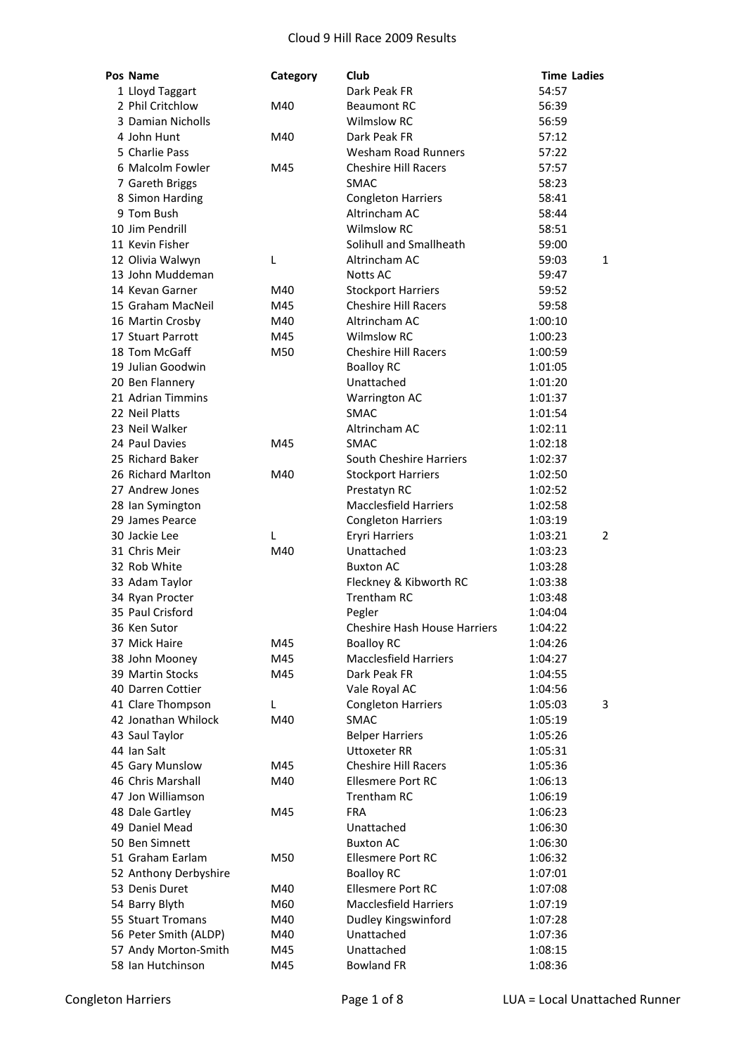| Pos Name              | Category | Club                                | <b>Time Ladies</b> |              |
|-----------------------|----------|-------------------------------------|--------------------|--------------|
| 1 Lloyd Taggart       |          | Dark Peak FR                        | 54:57              |              |
| 2 Phil Critchlow      | M40      | <b>Beaumont RC</b>                  | 56:39              |              |
| 3 Damian Nicholls     |          | <b>Wilmslow RC</b>                  | 56:59              |              |
| 4 John Hunt           | M40      | Dark Peak FR                        | 57:12              |              |
| 5 Charlie Pass        |          | <b>Wesham Road Runners</b>          | 57:22              |              |
| 6 Malcolm Fowler      | M45      | <b>Cheshire Hill Racers</b>         | 57:57              |              |
| 7 Gareth Briggs       |          | <b>SMAC</b>                         | 58:23              |              |
| 8 Simon Harding       |          | <b>Congleton Harriers</b>           | 58:41              |              |
| 9 Tom Bush            |          | Altrincham AC                       | 58:44              |              |
| 10 Jim Pendrill       |          | <b>Wilmslow RC</b>                  | 58:51              |              |
| 11 Kevin Fisher       |          | Solihull and Smallheath             | 59:00              |              |
| 12 Olivia Walwyn      | L        | Altrincham AC                       | 59:03              | $\mathbf{1}$ |
| 13 John Muddeman      |          | Notts AC                            | 59:47              |              |
| 14 Kevan Garner       | M40      | <b>Stockport Harriers</b>           | 59:52              |              |
| 15 Graham MacNeil     | M45      | <b>Cheshire Hill Racers</b>         | 59:58              |              |
| 16 Martin Crosby      | M40      | Altrincham AC                       | 1:00:10            |              |
| 17 Stuart Parrott     | M45      | <b>Wilmslow RC</b>                  | 1:00:23            |              |
| 18 Tom McGaff         | M50      | <b>Cheshire Hill Racers</b>         | 1:00:59            |              |
| 19 Julian Goodwin     |          | <b>Boalloy RC</b>                   | 1:01:05            |              |
| 20 Ben Flannery       |          | Unattached                          | 1:01:20            |              |
| 21 Adrian Timmins     |          | Warrington AC                       | 1:01:37            |              |
| 22 Neil Platts        |          | <b>SMAC</b>                         | 1:01:54            |              |
| 23 Neil Walker        |          | Altrincham AC                       | 1:02:11            |              |
| 24 Paul Davies        | M45      | <b>SMAC</b>                         | 1:02:18            |              |
| 25 Richard Baker      |          | South Cheshire Harriers             | 1:02:37            |              |
| 26 Richard Marlton    | M40      | <b>Stockport Harriers</b>           | 1:02:50            |              |
| 27 Andrew Jones       |          | Prestatyn RC                        | 1:02:52            |              |
| 28 Ian Symington      |          | <b>Macclesfield Harriers</b>        | 1:02:58            |              |
| 29 James Pearce       |          | <b>Congleton Harriers</b>           | 1:03:19            |              |
| 30 Jackie Lee         | L        | <b>Eryri Harriers</b>               | 1:03:21            | 2            |
| 31 Chris Meir         | M40      | Unattached                          | 1:03:23            |              |
| 32 Rob White          |          | <b>Buxton AC</b>                    | 1:03:28            |              |
| 33 Adam Taylor        |          | Fleckney & Kibworth RC              | 1:03:38            |              |
| 34 Ryan Procter       |          | <b>Trentham RC</b>                  | 1:03:48            |              |
| 35 Paul Crisford      |          | Pegler                              | 1:04:04            |              |
| 36 Ken Sutor          |          | <b>Cheshire Hash House Harriers</b> | 1:04:22            |              |
| 37 Mick Haire         | M45      | <b>Boalloy RC</b>                   | 1:04:26            |              |
| 38 John Mooney        | M45      | <b>Macclesfield Harriers</b>        | 1:04:27            |              |
| 39 Martin Stocks      | M45      | Dark Peak FR                        | 1:04:55            |              |
| 40 Darren Cottier     |          | Vale Royal AC                       | 1:04:56            |              |
| 41 Clare Thompson     | L        | <b>Congleton Harriers</b>           | 1:05:03            | 3            |
| 42 Jonathan Whilock   | M40      | <b>SMAC</b>                         | 1:05:19            |              |
| 43 Saul Taylor        |          | <b>Belper Harriers</b>              | 1:05:26            |              |
| 44 Ian Salt           |          | <b>Uttoxeter RR</b>                 | 1:05:31            |              |
| 45 Gary Munslow       | M45      | <b>Cheshire Hill Racers</b>         | 1:05:36            |              |
| 46 Chris Marshall     | M40      | <b>Ellesmere Port RC</b>            | 1:06:13            |              |
| 47 Jon Williamson     |          | Trentham RC                         | 1:06:19            |              |
| 48 Dale Gartley       | M45      | <b>FRA</b>                          | 1:06:23            |              |
| 49 Daniel Mead        |          | Unattached                          | 1:06:30            |              |
| 50 Ben Simnett        |          | <b>Buxton AC</b>                    | 1:06:30            |              |
| 51 Graham Earlam      | M50      | <b>Ellesmere Port RC</b>            | 1:06:32            |              |
| 52 Anthony Derbyshire |          | <b>Boalloy RC</b>                   | 1:07:01            |              |
| 53 Denis Duret        | M40      | <b>Ellesmere Port RC</b>            | 1:07:08            |              |
| 54 Barry Blyth        | M60      | <b>Macclesfield Harriers</b>        | 1:07:19            |              |
| 55 Stuart Tromans     | M40      | Dudley Kingswinford                 | 1:07:28            |              |
| 56 Peter Smith (ALDP) | M40      | Unattached                          | 1:07:36            |              |
| 57 Andy Morton-Smith  | M45      | Unattached                          | 1:08:15            |              |
| 58 Ian Hutchinson     | M45      | <b>Bowland FR</b>                   | 1:08:36            |              |
|                       |          |                                     |                    |              |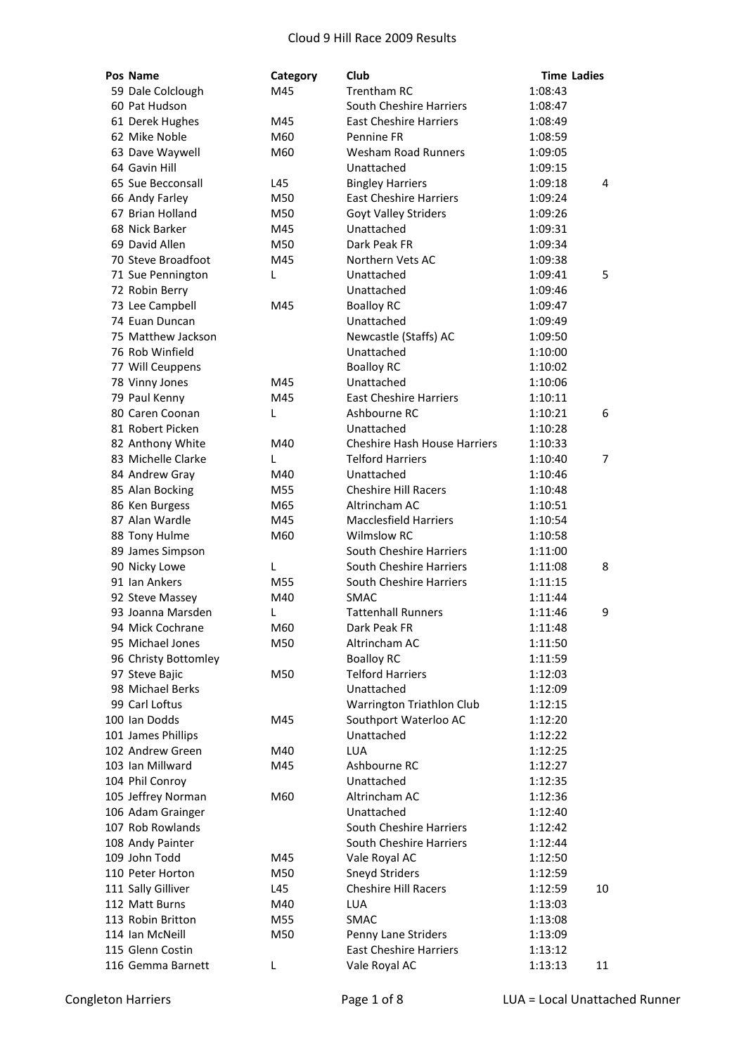| Pos Name                             | Category | Club                                     | <b>Time Ladies</b> |    |
|--------------------------------------|----------|------------------------------------------|--------------------|----|
| 59 Dale Colclough                    | M45      | <b>Trentham RC</b>                       | 1:08:43            |    |
| 60 Pat Hudson                        |          | South Cheshire Harriers                  | 1:08:47            |    |
| 61 Derek Hughes                      | M45      | <b>East Cheshire Harriers</b>            | 1:08:49            |    |
| 62 Mike Noble                        | M60      | Pennine FR                               | 1:08:59            |    |
| 63 Dave Waywell                      | M60      | Wesham Road Runners                      | 1:09:05            |    |
| 64 Gavin Hill                        |          | Unattached                               | 1:09:15            |    |
| 65 Sue Becconsall                    | L45      | <b>Bingley Harriers</b>                  | 1:09:18            | 4  |
| 66 Andy Farley                       | M50      | <b>East Cheshire Harriers</b>            | 1:09:24            |    |
| 67 Brian Holland                     | M50      | Goyt Valley Striders                     | 1:09:26            |    |
| 68 Nick Barker                       | M45      | Unattached                               | 1:09:31            |    |
| 69 David Allen                       | M50      | Dark Peak FR                             | 1:09:34            |    |
| 70 Steve Broadfoot                   | M45      | Northern Vets AC                         | 1:09:38            |    |
| 71 Sue Pennington                    | L        | Unattached                               | 1:09:41            | 5  |
| 72 Robin Berry                       |          | Unattached                               | 1:09:46            |    |
| 73 Lee Campbell                      | M45      | <b>Boalloy RC</b>                        | 1:09:47            |    |
| 74 Euan Duncan                       |          | Unattached                               | 1:09:49            |    |
| 75 Matthew Jackson                   |          | Newcastle (Staffs) AC                    | 1:09:50            |    |
| 76 Rob Winfield                      |          | Unattached                               | 1:10:00            |    |
| 77 Will Ceuppens                     |          | <b>Boalloy RC</b>                        | 1:10:02            |    |
| 78 Vinny Jones                       | M45      | Unattached                               | 1:10:06            |    |
| 79 Paul Kenny                        | M45      | <b>East Cheshire Harriers</b>            | 1:10:11            |    |
| 80 Caren Coonan                      | L        | Ashbourne RC                             | 1:10:21            | 6  |
| 81 Robert Picken                     |          | Unattached                               | 1:10:28            |    |
| 82 Anthony White                     | M40      | <b>Cheshire Hash House Harriers</b>      | 1:10:33            |    |
| 83 Michelle Clarke                   | L        | <b>Telford Harriers</b>                  | 1:10:40            | 7  |
| 84 Andrew Gray                       | M40      | Unattached                               | 1:10:46            |    |
| 85 Alan Bocking                      | M55      | <b>Cheshire Hill Racers</b>              | 1:10:48            |    |
| 86 Ken Burgess                       | M65      | Altrincham AC                            | 1:10:51            |    |
| 87 Alan Wardle                       | M45      | <b>Macclesfield Harriers</b>             | 1:10:54            |    |
| 88 Tony Hulme                        | M60      | <b>Wilmslow RC</b>                       | 1:10:58            |    |
| 89 James Simpson                     |          | South Cheshire Harriers                  | 1:11:00            |    |
| 90 Nicky Lowe                        | L        | South Cheshire Harriers                  | 1:11:08            | 8  |
| 91 Ian Ankers                        | M55      | South Cheshire Harriers                  | 1:11:15            |    |
|                                      |          |                                          |                    |    |
| 92 Steve Massey<br>93 Joanna Marsden | M40      | <b>SMAC</b><br><b>Tattenhall Runners</b> | 1:11:44<br>1:11:46 |    |
|                                      | L        |                                          |                    | 9  |
| 94 Mick Cochrane                     | M60      | Dark Peak FR                             | 1:11:48            |    |
| 95 Michael Jones                     | M50      | Altrincham AC                            | 1:11:50            |    |
| 96 Christy Bottomley                 |          | <b>Boalloy RC</b>                        | 1:11:59            |    |
| 97 Steve Bajic                       | M50      | <b>Telford Harriers</b>                  | 1:12:03            |    |
| 98 Michael Berks                     |          | Unattached                               | 1:12:09            |    |
| 99 Carl Loftus                       |          | Warrington Triathlon Club                | 1:12:15            |    |
| 100 Ian Dodds                        | M45      | Southport Waterloo AC                    | 1:12:20            |    |
| 101 James Phillips                   |          | Unattached                               | 1:12:22            |    |
| 102 Andrew Green                     | M40      | <b>LUA</b>                               | 1:12:25            |    |
| 103 Ian Millward                     | M45      | Ashbourne RC                             | 1:12:27            |    |
| 104 Phil Conroy                      |          | Unattached                               | 1:12:35            |    |
| 105 Jeffrey Norman                   | M60      | Altrincham AC                            | 1:12:36            |    |
| 106 Adam Grainger                    |          | Unattached                               | 1:12:40            |    |
| 107 Rob Rowlands                     |          | South Cheshire Harriers                  | 1:12:42            |    |
| 108 Andy Painter                     |          | South Cheshire Harriers                  | 1:12:44            |    |
| 109 John Todd                        | M45      | Vale Royal AC                            | 1:12:50            |    |
| 110 Peter Horton                     | M50      | Sneyd Striders                           | 1:12:59            |    |
| 111 Sally Gilliver                   | L45      | <b>Cheshire Hill Racers</b>              | 1:12:59            | 10 |
| 112 Matt Burns                       | M40      | <b>LUA</b>                               | 1:13:03            |    |
| 113 Robin Britton                    | M55      | <b>SMAC</b>                              | 1:13:08            |    |
| 114 Ian McNeill                      | M50      | Penny Lane Striders                      | 1:13:09            |    |
| 115 Glenn Costin                     |          | <b>East Cheshire Harriers</b>            | 1:13:12            |    |
| 116 Gemma Barnett                    | L        | Vale Royal AC                            | 1:13:13            | 11 |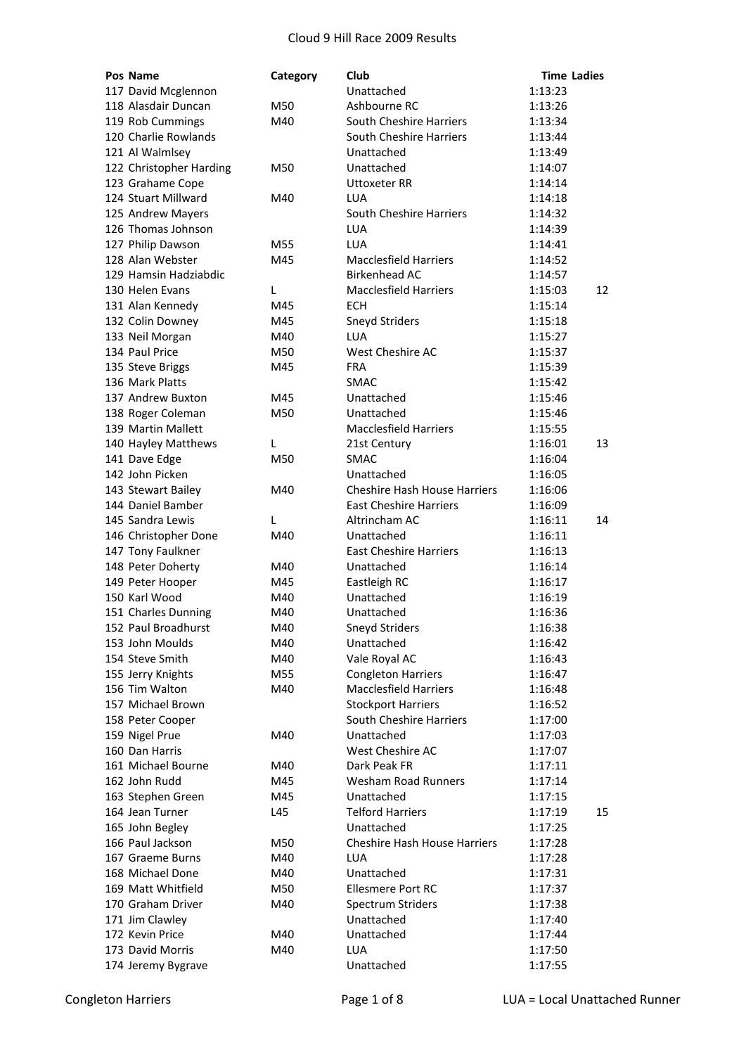| Pos Name                | Category | Club                                | <b>Time Ladies</b> |  |
|-------------------------|----------|-------------------------------------|--------------------|--|
| 117 David Mcglennon     |          | Unattached                          | 1:13:23            |  |
| 118 Alasdair Duncan     | M50      | Ashbourne RC                        | 1:13:26            |  |
| 119 Rob Cummings        | M40      | South Cheshire Harriers             | 1:13:34            |  |
| 120 Charlie Rowlands    |          | South Cheshire Harriers             | 1:13:44            |  |
| 121 Al Walmlsey         |          | Unattached                          | 1:13:49            |  |
| 122 Christopher Harding | M50      | Unattached                          | 1:14:07            |  |
| 123 Grahame Cope        |          | <b>Uttoxeter RR</b>                 | 1:14:14            |  |
| 124 Stuart Millward     | M40      | LUA                                 | 1:14:18            |  |
| 125 Andrew Mayers       |          | South Cheshire Harriers             | 1:14:32            |  |
| 126 Thomas Johnson      |          | <b>LUA</b>                          | 1:14:39            |  |
| 127 Philip Dawson       | M55      | <b>LUA</b>                          | 1:14:41            |  |
| 128 Alan Webster        | M45      | <b>Macclesfield Harriers</b>        | 1:14:52            |  |
| 129 Hamsin Hadziabdic   |          | <b>Birkenhead AC</b>                | 1:14:57            |  |
| 130 Helen Evans         | L        | <b>Macclesfield Harriers</b>        | 12<br>1:15:03      |  |
| 131 Alan Kennedy        | M45      | <b>ECH</b>                          | 1:15:14            |  |
| 132 Colin Downey        | M45      | <b>Sneyd Striders</b>               | 1:15:18            |  |
| 133 Neil Morgan         | M40      | LUA                                 | 1:15:27            |  |
| 134 Paul Price          | M50      | West Cheshire AC                    | 1:15:37            |  |
| 135 Steve Briggs        | M45      | <b>FRA</b>                          | 1:15:39            |  |
| 136 Mark Platts         |          | <b>SMAC</b>                         | 1:15:42            |  |
| 137 Andrew Buxton       | M45      | Unattached                          | 1:15:46            |  |
| 138 Roger Coleman       | M50      | Unattached                          | 1:15:46            |  |
| 139 Martin Mallett      |          | <b>Macclesfield Harriers</b>        | 1:15:55            |  |
| 140 Hayley Matthews     | L        | 21st Century                        | 1:16:01<br>13      |  |
| 141 Dave Edge           | M50      | <b>SMAC</b>                         | 1:16:04            |  |
| 142 John Picken         |          | Unattached                          | 1:16:05            |  |
| 143 Stewart Bailey      | M40      | <b>Cheshire Hash House Harriers</b> | 1:16:06            |  |
| 144 Daniel Bamber       |          | <b>East Cheshire Harriers</b>       | 1:16:09            |  |
| 145 Sandra Lewis        | L        | Altrincham AC                       | 1:16:11<br>14      |  |
| 146 Christopher Done    | M40      | Unattached                          | 1:16:11            |  |
| 147 Tony Faulkner       |          | <b>East Cheshire Harriers</b>       | 1:16:13            |  |
| 148 Peter Doherty       | M40      | Unattached                          | 1:16:14            |  |
| 149 Peter Hooper        | M45      | Eastleigh RC                        | 1:16:17            |  |
| 150 Karl Wood           | M40      | Unattached                          | 1:16:19            |  |
| 151 Charles Dunning     | M40      | Unattached                          | 1:16:36            |  |
| 152 Paul Broadhurst     | M40      | Sneyd Striders                      | 1:16:38            |  |
| 153 John Moulds         | M40      | Unattached                          | 1:16:42            |  |
| 154 Steve Smith         | M40      | Vale Royal AC                       | 1:16:43            |  |
| 155 Jerry Knights       | M55      | <b>Congleton Harriers</b>           | 1:16:47            |  |
| 156 Tim Walton          | M40      | <b>Macclesfield Harriers</b>        | 1:16:48            |  |
| 157 Michael Brown       |          | <b>Stockport Harriers</b>           | 1:16:52            |  |
| 158 Peter Cooper        |          | South Cheshire Harriers             | 1:17:00            |  |
| 159 Nigel Prue          | M40      | Unattached                          | 1:17:03            |  |
| 160 Dan Harris          |          | West Cheshire AC                    | 1:17:07            |  |
| 161 Michael Bourne      | M40      | Dark Peak FR                        | 1:17:11            |  |
| 162 John Rudd           | M45      | <b>Wesham Road Runners</b>          | 1:17:14            |  |
| 163 Stephen Green       | M45      | Unattached                          | 1:17:15            |  |
| 164 Jean Turner         | L45      | <b>Telford Harriers</b>             | 1:17:19<br>15      |  |
| 165 John Begley         |          | Unattached                          | 1:17:25            |  |
| 166 Paul Jackson        | M50      | <b>Cheshire Hash House Harriers</b> | 1:17:28            |  |
| 167 Graeme Burns        | M40      | <b>LUA</b>                          | 1:17:28            |  |
| 168 Michael Done        | M40      | Unattached                          | 1:17:31            |  |
| 169 Matt Whitfield      | M50      | <b>Ellesmere Port RC</b>            | 1:17:37            |  |
| 170 Graham Driver       | M40      | <b>Spectrum Striders</b>            | 1:17:38            |  |
| 171 Jim Clawley         |          | Unattached                          | 1:17:40            |  |
| 172 Kevin Price         | M40      | Unattached                          | 1:17:44            |  |
| 173 David Morris        | M40      | <b>LUA</b>                          | 1:17:50            |  |
| 174 Jeremy Bygrave      |          | Unattached                          | 1:17:55            |  |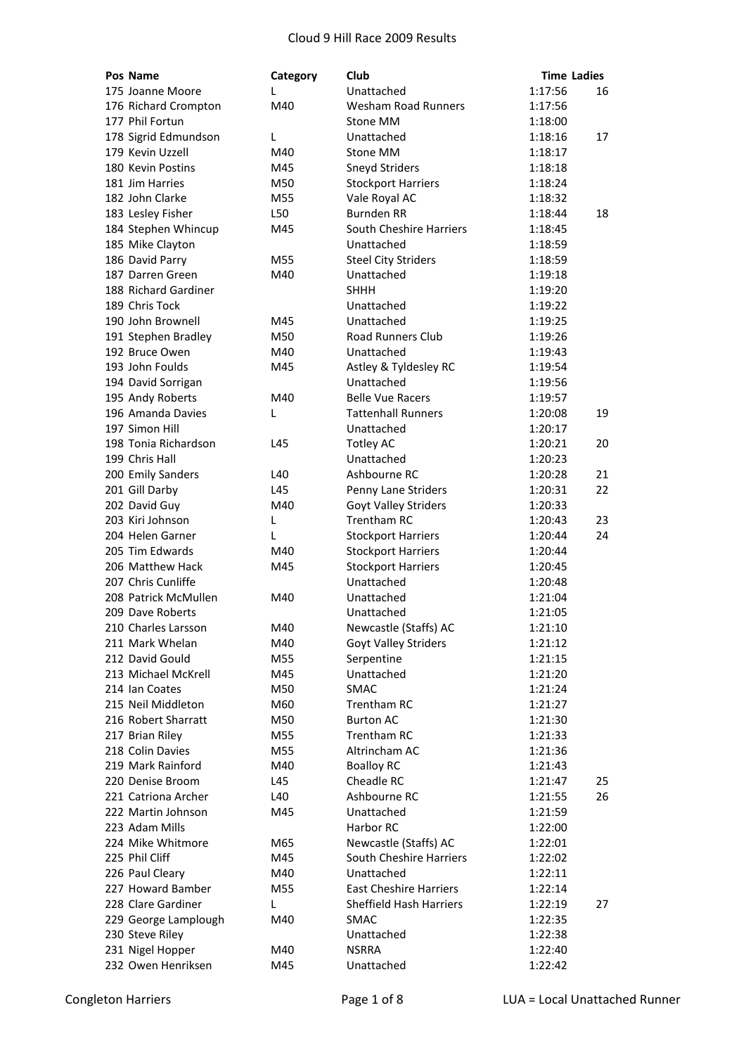| Pos Name                          | Category | Club                                              | <b>Time Ladies</b> |    |
|-----------------------------------|----------|---------------------------------------------------|--------------------|----|
| 175 Joanne Moore                  | L        | Unattached                                        | 1:17:56            | 16 |
| 176 Richard Crompton              | M40      | <b>Wesham Road Runners</b>                        | 1:17:56            |    |
| 177 Phil Fortun                   |          | Stone MM                                          | 1:18:00            |    |
| 178 Sigrid Edmundson              | L        | Unattached                                        | 1:18:16            | 17 |
| 179 Kevin Uzzell                  | M40      | Stone MM                                          | 1:18:17            |    |
| 180 Kevin Postins                 | M45      | <b>Sneyd Striders</b>                             | 1:18:18            |    |
| 181 Jim Harries                   | M50      | <b>Stockport Harriers</b>                         | 1:18:24            |    |
| 182 John Clarke                   | M55      | Vale Royal AC                                     | 1:18:32            |    |
| 183 Lesley Fisher                 | L50      | <b>Burnden RR</b>                                 | 1:18:44            | 18 |
| 184 Stephen Whincup               | M45      | South Cheshire Harriers                           | 1:18:45            |    |
| 185 Mike Clayton                  |          | Unattached                                        | 1:18:59            |    |
| 186 David Parry                   | M55      | <b>Steel City Striders</b>                        | 1:18:59            |    |
| 187 Darren Green                  | M40      | Unattached                                        | 1:19:18            |    |
| 188 Richard Gardiner              |          | <b>SHHH</b>                                       | 1:19:20            |    |
| 189 Chris Tock                    |          | Unattached                                        | 1:19:22            |    |
| 190 John Brownell                 | M45      | Unattached                                        | 1:19:25            |    |
| 191 Stephen Bradley               | M50      | <b>Road Runners Club</b>                          | 1:19:26            |    |
| 192 Bruce Owen                    | M40      | Unattached                                        | 1:19:43            |    |
| 193 John Foulds                   | M45      | Astley & Tyldesley RC                             | 1:19:54            |    |
| 194 David Sorrigan                |          | Unattached                                        | 1:19:56            |    |
| 195 Andy Roberts                  | M40      | <b>Belle Vue Racers</b>                           | 1:19:57            |    |
| 196 Amanda Davies                 | L        | <b>Tattenhall Runners</b>                         | 1:20:08            | 19 |
| 197 Simon Hill                    |          | Unattached                                        | 1:20:17            |    |
| 198 Tonia Richardson              | L45      | <b>Totley AC</b>                                  | 1:20:21            | 20 |
| 199 Chris Hall                    |          | Unattached                                        | 1:20:23            |    |
| 200 Emily Sanders                 | L40      | Ashbourne RC                                      | 1:20:28            | 21 |
| 201 Gill Darby                    | L45      |                                                   |                    | 22 |
|                                   |          | Penny Lane Striders                               | 1:20:31            |    |
| 202 David Guy<br>203 Kiri Johnson | M40      | <b>Goyt Valley Striders</b><br><b>Trentham RC</b> | 1:20:33<br>1:20:43 | 23 |
| 204 Helen Garner                  | L        |                                                   |                    | 24 |
|                                   | L        | <b>Stockport Harriers</b>                         | 1:20:44            |    |
| 205 Tim Edwards                   | M40      | <b>Stockport Harriers</b>                         | 1:20:44            |    |
| 206 Matthew Hack                  | M45      | <b>Stockport Harriers</b>                         | 1:20:45            |    |
| 207 Chris Cunliffe                |          | Unattached                                        | 1:20:48            |    |
| 208 Patrick McMullen              | M40      | Unattached                                        | 1:21:04            |    |
| 209 Dave Roberts                  |          | Unattached                                        | 1:21:05            |    |
| 210 Charles Larsson               | M40      | Newcastle (Staffs) AC                             | 1:21:10            |    |
| 211 Mark Whelan                   | M40      | Goyt Valley Striders                              | 1:21:12            |    |
| 212 David Gould                   | M55      | Serpentine                                        | 1:21:15            |    |
| 213 Michael McKrell               | M45      | Unattached                                        | 1:21:20            |    |
| 214 Ian Coates                    | M50      | <b>SMAC</b>                                       | 1:21:24            |    |
| 215 Neil Middleton                | M60      | <b>Trentham RC</b>                                | 1:21:27            |    |
| 216 Robert Sharratt               | M50      | <b>Burton AC</b>                                  | 1:21:30            |    |
| 217 Brian Riley                   | M55      | <b>Trentham RC</b>                                | 1:21:33            |    |
| 218 Colin Davies                  | M55      | Altrincham AC                                     | 1:21:36            |    |
| 219 Mark Rainford                 | M40      | <b>Boalloy RC</b>                                 | 1:21:43            |    |
| 220 Denise Broom                  | L45      | Cheadle RC                                        | 1:21:47            | 25 |
| 221 Catriona Archer               | L40      | Ashbourne RC                                      | 1:21:55            | 26 |
| 222 Martin Johnson                | M45      | Unattached                                        | 1:21:59            |    |
| 223 Adam Mills                    |          | Harbor RC                                         | 1:22:00            |    |
| 224 Mike Whitmore                 | M65      | Newcastle (Staffs) AC                             | 1:22:01            |    |
| 225 Phil Cliff                    | M45      | South Cheshire Harriers                           | 1:22:02            |    |
| 226 Paul Cleary                   | M40      | Unattached                                        | 1:22:11            |    |
| 227 Howard Bamber                 | M55      | <b>East Cheshire Harriers</b>                     | 1:22:14            |    |
| 228 Clare Gardiner                | L        | Sheffield Hash Harriers                           | 1:22:19            | 27 |
| 229 George Lamplough              | M40      | <b>SMAC</b>                                       | 1:22:35            |    |
| 230 Steve Riley                   |          | Unattached                                        | 1:22:38            |    |
| 231 Nigel Hopper                  | M40      | <b>NSRRA</b>                                      | 1:22:40            |    |
| 232 Owen Henriksen                | M45      | Unattached                                        | 1:22:42            |    |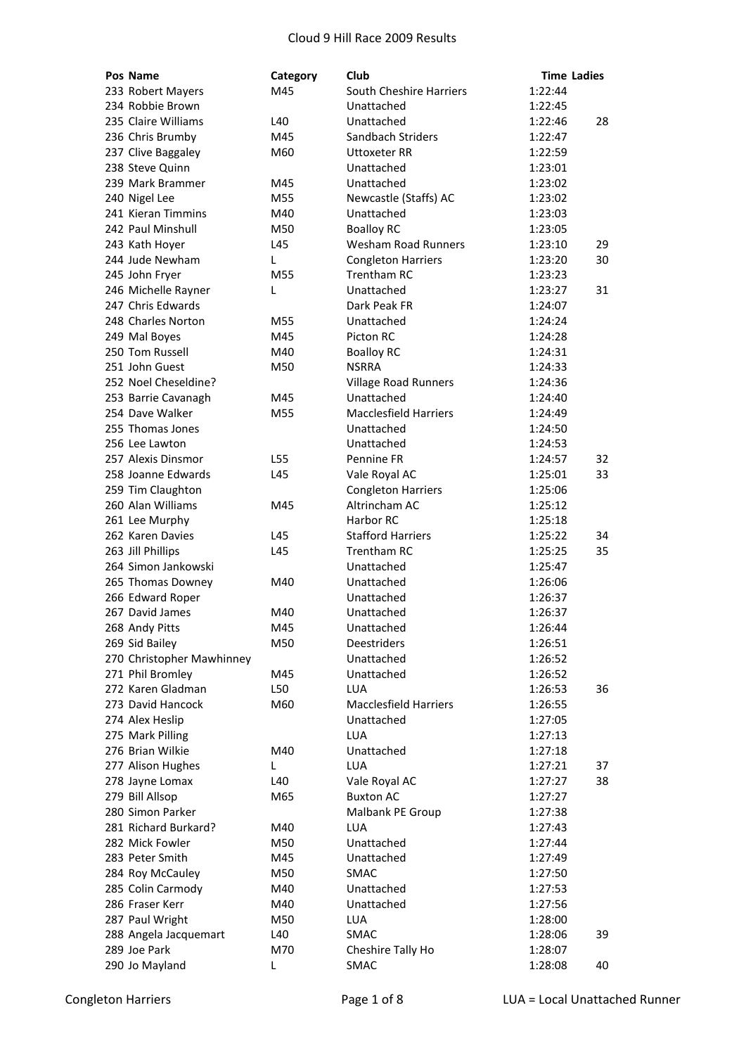| Pos Name                  | Category | Club                         | <b>Time Ladies</b> |    |
|---------------------------|----------|------------------------------|--------------------|----|
| 233 Robert Mayers         | M45      | South Cheshire Harriers      | 1:22:44            |    |
| 234 Robbie Brown          |          | Unattached                   | 1:22:45            |    |
| 235 Claire Williams       | L40      | Unattached                   | 1:22:46            | 28 |
| 236 Chris Brumby          | M45      | Sandbach Striders            | 1:22:47            |    |
| 237 Clive Baggaley        | M60      | <b>Uttoxeter RR</b>          | 1:22:59            |    |
| 238 Steve Quinn           |          | Unattached                   | 1:23:01            |    |
| 239 Mark Brammer          | M45      | Unattached                   | 1:23:02            |    |
| 240 Nigel Lee             | M55      | Newcastle (Staffs) AC        | 1:23:02            |    |
| 241 Kieran Timmins        | M40      | Unattached                   | 1:23:03            |    |
| 242 Paul Minshull         | M50      | <b>Boalloy RC</b>            | 1:23:05            |    |
| 243 Kath Hoyer            | L45      | <b>Wesham Road Runners</b>   | 1:23:10            | 29 |
| 244 Jude Newham           | L.       | <b>Congleton Harriers</b>    | 1:23:20            | 30 |
| 245 John Fryer            | M55      | <b>Trentham RC</b>           | 1:23:23            |    |
| 246 Michelle Rayner       | L        | Unattached                   | 1:23:27            | 31 |
| 247 Chris Edwards         |          | Dark Peak FR                 | 1:24:07            |    |
| 248 Charles Norton        | M55      | Unattached                   | 1:24:24            |    |
| 249 Mal Boyes             | M45      | Picton RC                    | 1:24:28            |    |
| 250 Tom Russell           | M40      | <b>Boalloy RC</b>            | 1:24:31            |    |
| 251 John Guest            | M50      | <b>NSRRA</b>                 | 1:24:33            |    |
| 252 Noel Cheseldine?      |          | <b>Village Road Runners</b>  | 1:24:36            |    |
| 253 Barrie Cavanagh       | M45      | Unattached                   | 1:24:40            |    |
| 254 Dave Walker           | M55      | <b>Macclesfield Harriers</b> | 1:24:49            |    |
| 255 Thomas Jones          |          | Unattached                   | 1:24:50            |    |
| 256 Lee Lawton            |          | Unattached                   | 1:24:53            |    |
| 257 Alexis Dinsmor        | L55      | Pennine FR                   | 1:24:57            | 32 |
| 258 Joanne Edwards        | L45      | Vale Royal AC                | 1:25:01            | 33 |
| 259 Tim Claughton         |          | <b>Congleton Harriers</b>    | 1:25:06            |    |
| 260 Alan Williams         | M45      | Altrincham AC                | 1:25:12            |    |
| 261 Lee Murphy            |          | Harbor RC                    | 1:25:18            |    |
| 262 Karen Davies          | L45      | <b>Stafford Harriers</b>     | 1:25:22            | 34 |
| 263 Jill Phillips         | L45      | <b>Trentham RC</b>           | 1:25:25            | 35 |
| 264 Simon Jankowski       |          | Unattached                   | 1:25:47            |    |
| 265 Thomas Downey         | M40      | Unattached                   | 1:26:06            |    |
| 266 Edward Roper          |          | Unattached                   | 1:26:37            |    |
| 267 David James           | M40      | Unattached                   | 1:26:37            |    |
| 268 Andy Pitts            | M45      | Unattached                   | 1:26:44            |    |
| 269 Sid Bailey            | M50      | Deestriders                  | 1:26:51            |    |
| 270 Christopher Mawhinney |          | Unattached                   | 1:26:52            |    |
| 271 Phil Bromley          | M45      | Unattached                   | 1:26:52            |    |
| 272 Karen Gladman         | L50      | <b>LUA</b>                   | 1:26:53            | 36 |
| 273 David Hancock         | M60      | <b>Macclesfield Harriers</b> | 1:26:55            |    |
| 274 Alex Heslip           |          | Unattached                   | 1:27:05            |    |
| 275 Mark Pilling          |          | <b>LUA</b>                   | 1:27:13            |    |
| 276 Brian Wilkie          | M40      | Unattached                   | 1:27:18            |    |
| 277 Alison Hughes         | L.       | <b>LUA</b>                   | 1:27:21            | 37 |
| 278 Jayne Lomax           | L40      | Vale Royal AC                | 1:27:27            | 38 |
| 279 Bill Allsop           | M65      | <b>Buxton AC</b>             | 1:27:27            |    |
| 280 Simon Parker          |          | Malbank PE Group             | 1:27:38            |    |
| 281 Richard Burkard?      | M40      | LUA                          | 1:27:43            |    |
| 282 Mick Fowler           | M50      | Unattached                   | 1:27:44            |    |
| 283 Peter Smith           | M45      | Unattached                   | 1:27:49            |    |
| 284 Roy McCauley          | M50      | <b>SMAC</b>                  | 1:27:50            |    |
| 285 Colin Carmody         | M40      | Unattached                   | 1:27:53            |    |
| 286 Fraser Kerr           | M40      | Unattached                   | 1:27:56            |    |
| 287 Paul Wright           | M50      | <b>LUA</b>                   | 1:28:00            |    |
| 288 Angela Jacquemart     | L40      | <b>SMAC</b>                  | 1:28:06            | 39 |
| 289 Joe Park              | M70      | Cheshire Tally Ho            | 1:28:07            |    |
| 290 Jo Mayland            | L        | SMAC                         | 1:28:08            | 40 |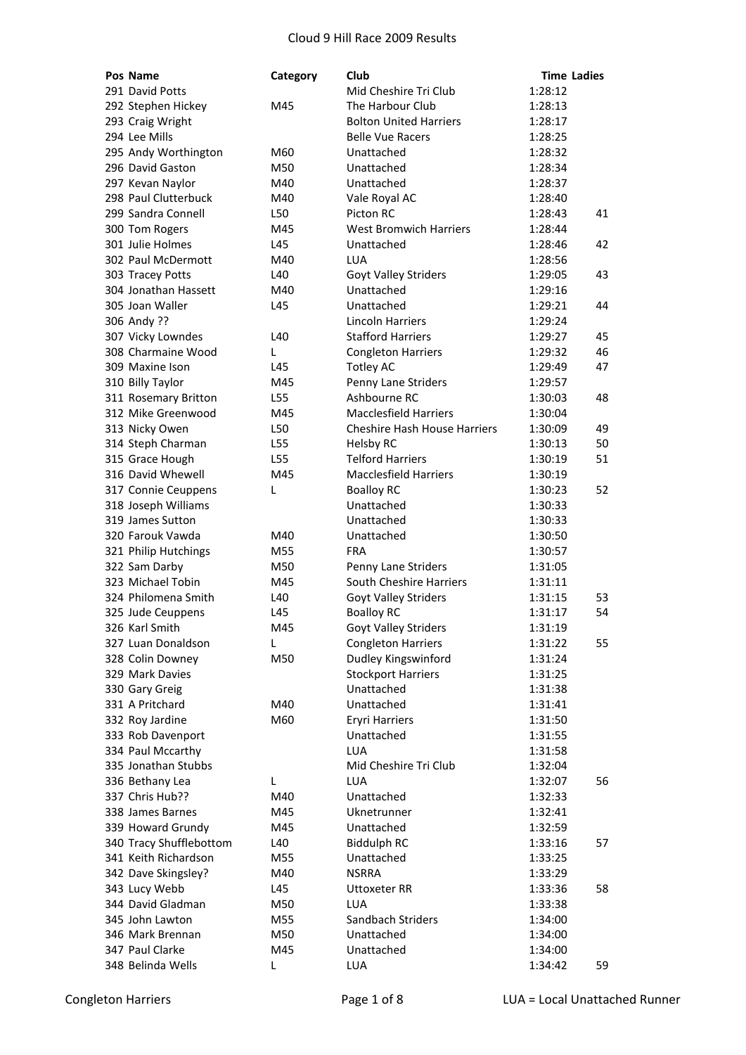| Pos Name                | Category | Club                                | <b>Time Ladies</b> |    |
|-------------------------|----------|-------------------------------------|--------------------|----|
| 291 David Potts         |          | Mid Cheshire Tri Club               | 1:28:12            |    |
| 292 Stephen Hickey      | M45      | The Harbour Club                    | 1:28:13            |    |
| 293 Craig Wright        |          | <b>Bolton United Harriers</b>       | 1:28:17            |    |
| 294 Lee Mills           |          | <b>Belle Vue Racers</b>             | 1:28:25            |    |
| 295 Andy Worthington    | M60      | Unattached                          | 1:28:32            |    |
| 296 David Gaston        | M50      | Unattached                          | 1:28:34            |    |
| 297 Kevan Naylor        | M40      | Unattached                          | 1:28:37            |    |
| 298 Paul Clutterbuck    | M40      | Vale Royal AC                       | 1:28:40            |    |
| 299 Sandra Connell      | L50      | Picton RC                           | 1:28:43            | 41 |
| 300 Tom Rogers          | M45      | <b>West Bromwich Harriers</b>       | 1:28:44            |    |
| 301 Julie Holmes        | L45      | Unattached                          | 1:28:46            | 42 |
| 302 Paul McDermott      | M40      | LUA                                 | 1:28:56            |    |
| 303 Tracey Potts        | L40      | Goyt Valley Striders                | 1:29:05            | 43 |
| 304 Jonathan Hassett    | M40      | Unattached                          | 1:29:16            |    |
| 305 Joan Waller         | L45      | Unattached                          | 1:29:21            | 44 |
| 306 Andy ??             |          | <b>Lincoln Harriers</b>             | 1:29:24            |    |
| 307 Vicky Lowndes       | L40      | <b>Stafford Harriers</b>            | 1:29:27            | 45 |
| 308 Charmaine Wood      | L        | <b>Congleton Harriers</b>           | 1:29:32            | 46 |
| 309 Maxine Ison         | L45      | <b>Totley AC</b>                    | 1:29:49            | 47 |
| 310 Billy Taylor        | M45      | Penny Lane Striders                 | 1:29:57            |    |
| 311 Rosemary Britton    | L55      | Ashbourne RC                        | 1:30:03            | 48 |
| 312 Mike Greenwood      | M45      | <b>Macclesfield Harriers</b>        | 1:30:04            |    |
| 313 Nicky Owen          | L50      | <b>Cheshire Hash House Harriers</b> | 1:30:09            | 49 |
| 314 Steph Charman       | L55      | <b>Helsby RC</b>                    | 1:30:13            | 50 |
| 315 Grace Hough         | L55      | <b>Telford Harriers</b>             | 1:30:19            | 51 |
| 316 David Whewell       | M45      | <b>Macclesfield Harriers</b>        | 1:30:19            |    |
| 317 Connie Ceuppens     | L        | <b>Boalloy RC</b>                   | 1:30:23            | 52 |
| 318 Joseph Williams     |          | Unattached                          | 1:30:33            |    |
| 319 James Sutton        |          | Unattached                          | 1:30:33            |    |
| 320 Farouk Vawda        | M40      | Unattached                          | 1:30:50            |    |
| 321 Philip Hutchings    | M55      | FRA                                 | 1:30:57            |    |
| 322 Sam Darby           | M50      | Penny Lane Striders                 | 1:31:05            |    |
| 323 Michael Tobin       | M45      | South Cheshire Harriers             | 1:31:11            |    |
| 324 Philomena Smith     | L40      | <b>Goyt Valley Striders</b>         | 1:31:15            | 53 |
| 325 Jude Ceuppens       | L45      | <b>Boalloy RC</b>                   | 1:31:17            | 54 |
| 326 Karl Smith          | M45      | Goyt Valley Striders                | 1:31:19            |    |
| 327 Luan Donaldson      | L        | <b>Congleton Harriers</b>           | 1:31:22            | 55 |
| 328 Colin Downey        | M50      | Dudley Kingswinford                 | 1:31:24            |    |
| 329 Mark Davies         |          | <b>Stockport Harriers</b>           | 1:31:25            |    |
| 330 Gary Greig          |          | Unattached                          | 1:31:38            |    |
| 331 A Pritchard         | M40      | Unattached                          | 1:31:41            |    |
| 332 Roy Jardine         | M60      | <b>Eryri Harriers</b>               | 1:31:50            |    |
| 333 Rob Davenport       |          | Unattached                          | 1:31:55            |    |
| 334 Paul Mccarthy       |          | LUA                                 | 1:31:58            |    |
| 335 Jonathan Stubbs     |          | Mid Cheshire Tri Club               | 1:32:04            |    |
| 336 Bethany Lea         | L        | <b>LUA</b>                          | 1:32:07            | 56 |
| 337 Chris Hub??         | M40      | Unattached                          | 1:32:33            |    |
| 338 James Barnes        | M45      | Uknetrunner                         | 1:32:41            |    |
| 339 Howard Grundy       | M45      | Unattached                          | 1:32:59            |    |
| 340 Tracy Shufflebottom | L40      | <b>Biddulph RC</b>                  | 1:33:16            | 57 |
| 341 Keith Richardson    | M55      | Unattached                          | 1:33:25            |    |
| 342 Dave Skingsley?     | M40      | <b>NSRRA</b>                        | 1:33:29            |    |
| 343 Lucy Webb           | L45      | <b>Uttoxeter RR</b>                 | 1:33:36            | 58 |
| 344 David Gladman       | M50      | LUA                                 | 1:33:38            |    |
| 345 John Lawton         | M55      | Sandbach Striders                   | 1:34:00            |    |
| 346 Mark Brennan        | M50      | Unattached                          | 1:34:00            |    |
| 347 Paul Clarke         | M45      | Unattached                          | 1:34:00            |    |
| 348 Belinda Wells       | L        | LUA                                 | 1:34:42            | 59 |
|                         |          |                                     |                    |    |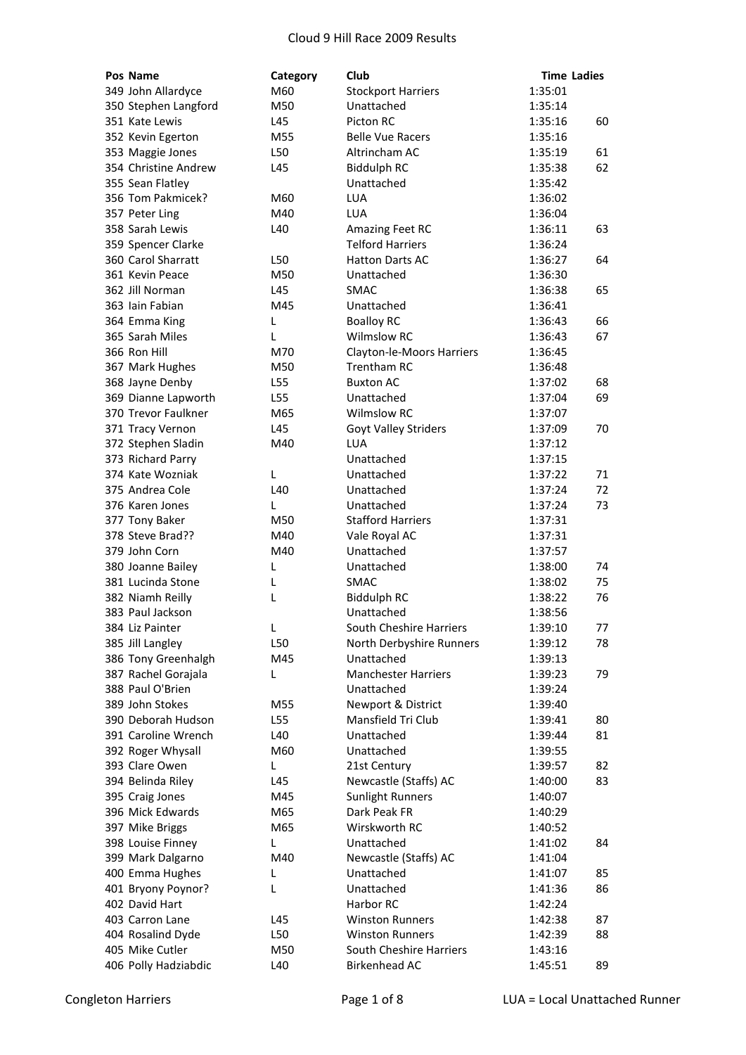| Pos Name                                  | Category   | Club                                     | <b>Time Ladies</b> |          |
|-------------------------------------------|------------|------------------------------------------|--------------------|----------|
| 349 John Allardyce                        | M60        | <b>Stockport Harriers</b>                | 1:35:01            |          |
| 350 Stephen Langford                      | M50        | Unattached                               | 1:35:14            |          |
| 351 Kate Lewis                            | L45        | Picton RC                                | 1:35:16            | 60       |
| 352 Kevin Egerton                         | M55        | <b>Belle Vue Racers</b>                  | 1:35:16            |          |
| 353 Maggie Jones                          | L50        | Altrincham AC                            | 1:35:19            | 61       |
| 354 Christine Andrew                      | L45        | <b>Biddulph RC</b>                       | 1:35:38            | 62       |
| 355 Sean Flatley                          |            | Unattached                               | 1:35:42            |          |
| 356 Tom Pakmicek?                         | M60        | <b>LUA</b>                               | 1:36:02            |          |
| 357 Peter Ling                            | M40        | <b>LUA</b>                               | 1:36:04            |          |
| 358 Sarah Lewis                           | L40        | Amazing Feet RC                          | 1:36:11            | 63       |
| 359 Spencer Clarke                        |            | <b>Telford Harriers</b>                  | 1:36:24            |          |
| 360 Carol Sharratt                        | L50        | <b>Hatton Darts AC</b>                   | 1:36:27            | 64       |
| 361 Kevin Peace                           | M50        | Unattached                               | 1:36:30            |          |
| 362 Jill Norman                           | L45        | <b>SMAC</b>                              | 1:36:38            | 65       |
| 363 Iain Fabian                           | M45        | Unattached                               | 1:36:41            |          |
| 364 Emma King                             | L          | <b>Boalloy RC</b>                        | 1:36:43            | 66       |
| 365 Sarah Miles                           | L          | <b>Wilmslow RC</b>                       | 1:36:43            | 67       |
| 366 Ron Hill                              | M70        | Clayton-le-Moors Harriers                | 1:36:45            |          |
| 367 Mark Hughes                           | M50        | <b>Trentham RC</b>                       | 1:36:48            |          |
| 368 Jayne Denby                           | L55        | <b>Buxton AC</b>                         | 1:37:02            | 68       |
| 369 Dianne Lapworth                       | L55        | Unattached                               | 1:37:04            | 69       |
| 370 Trevor Faulkner                       | M65        | <b>Wilmslow RC</b>                       | 1:37:07            |          |
| 371 Tracy Vernon                          | L45        | Goyt Valley Striders                     | 1:37:09            | 70       |
| 372 Stephen Sladin                        | M40        | <b>LUA</b>                               | 1:37:12            |          |
| 373 Richard Parry                         |            | Unattached                               | 1:37:15            |          |
| 374 Kate Wozniak                          | L          | Unattached                               | 1:37:22            | 71       |
| 375 Andrea Cole                           | L40        | Unattached                               | 1:37:24            | 72       |
| 376 Karen Jones                           | L          | Unattached                               | 1:37:24            | 73       |
| 377 Tony Baker                            | M50        | <b>Stafford Harriers</b>                 | 1:37:31            |          |
| 378 Steve Brad??                          | M40        | Vale Royal AC                            | 1:37:31            |          |
| 379 John Corn                             | M40        | Unattached                               | 1:37:57            |          |
| 380 Joanne Bailey                         | L          | Unattached                               | 1:38:00            | 74       |
| 381 Lucinda Stone                         |            | <b>SMAC</b>                              |                    | 75       |
| 382 Niamh Reilly                          | L<br>L     | <b>Biddulph RC</b>                       | 1:38:02<br>1:38:22 | 76       |
| 383 Paul Jackson                          |            | Unattached                               | 1:38:56            |          |
| 384 Liz Painter                           |            | South Cheshire Harriers                  | 1:39:10            |          |
|                                           |            |                                          |                    | 77       |
| 385 Jill Langley                          | L50<br>M45 | North Derbyshire Runners<br>Unattached   | 1:39:12            | 78       |
| 386 Tony Greenhalgh                       |            |                                          | 1:39:13            |          |
| 387 Rachel Gorajala                       | L          | <b>Manchester Harriers</b><br>Unattached | 1:39:23            | 79       |
| 388 Paul O'Brien<br>389 John Stokes       |            | Newport & District                       | 1:39:24            |          |
|                                           | M55        |                                          | 1:39:40            |          |
| 390 Deborah Hudson<br>391 Caroline Wrench | L55<br>L40 | Mansfield Tri Club<br>Unattached         | 1:39:41            | 80<br>81 |
|                                           | M60        | Unattached                               | 1:39:44            |          |
| 392 Roger Whysall                         |            |                                          | 1:39:55            |          |
| 393 Clare Owen                            | L          | 21st Century                             | 1:39:57            | 82       |
| 394 Belinda Riley                         | L45        | Newcastle (Staffs) AC                    | 1:40:00            | 83       |
| 395 Craig Jones                           | M45        | <b>Sunlight Runners</b>                  | 1:40:07            |          |
| 396 Mick Edwards                          | M65        | Dark Peak FR                             | 1:40:29            |          |
| 397 Mike Briggs                           | M65        | Wirskworth RC                            | 1:40:52            |          |
| 398 Louise Finney                         | L          | Unattached                               | 1:41:02            | 84       |
| 399 Mark Dalgarno                         | M40        | Newcastle (Staffs) AC                    | 1:41:04            |          |
| 400 Emma Hughes                           | L          | Unattached                               | 1:41:07            | 85       |
| 401 Bryony Poynor?                        | L          | Unattached                               | 1:41:36            | 86       |
| 402 David Hart                            |            | Harbor RC                                | 1:42:24            |          |
| 403 Carron Lane                           | L45        | <b>Winston Runners</b>                   | 1:42:38            | 87       |
| 404 Rosalind Dyde                         | L50        | <b>Winston Runners</b>                   | 1:42:39            | 88       |
| 405 Mike Cutler                           | M50        | South Cheshire Harriers                  | 1:43:16            |          |
| 406 Polly Hadziabdic                      | L40        | Birkenhead AC                            | 1:45:51            | 89       |